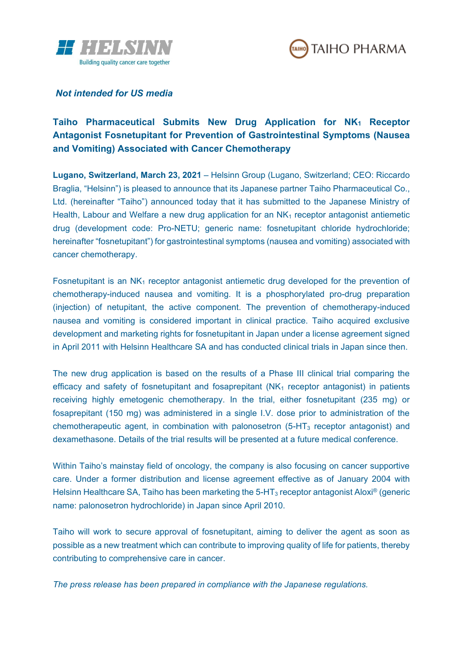



## *Not intended for US media*

# **Taiho Pharmaceutical Submits New Drug Application for NK<sup>1</sup> Receptor Antagonist Fosnetupitant for Prevention of Gastrointestinal Symptoms (Nausea and Vomiting) Associated with Cancer Chemotherapy**

**Lugano, Switzerland, March 23, 2021** – Helsinn Group (Lugano, Switzerland; CEO: Riccardo Braglia, "Helsinn") is pleased to announce that its Japanese partner Taiho Pharmaceutical Co., Ltd. (hereinafter "Taiho") announced today that it has submitted to the Japanese Ministry of Health, Labour and Welfare a new drug application for an  $NK_1$  receptor antagonist antiemetic drug (development code: Pro-NETU; generic name: fosnetupitant chloride hydrochloride; hereinafter "fosnetupitant") for gastrointestinal symptoms (nausea and vomiting) associated with cancer chemotherapy.

Fosnetupitant is an  $NK_1$  receptor antagonist antiemetic drug developed for the prevention of chemotherapy-induced nausea and vomiting. It is a phosphorylated pro-drug preparation (injection) of netupitant, the active component. The prevention of chemotherapy-induced nausea and vomiting is considered important in clinical practice. Taiho acquired exclusive development and marketing rights for fosnetupitant in Japan under a license agreement signed in April 2011 with Helsinn Healthcare SA and has conducted clinical trials in Japan since then.

The new drug application is based on the results of a Phase III clinical trial comparing the efficacy and safety of fosnetupitant and fosaprepitant  $(NK<sub>1</sub>$  receptor antagonist) in patients receiving highly emetogenic chemotherapy. In the trial, either fosnetupitant (235 mg) or fosaprepitant (150 mg) was administered in a single I.V. dose prior to administration of the chemotherapeutic agent, in combination with palonosetron  $(5-HT<sub>3</sub>$  receptor antagonist) and dexamethasone. Details of the trial results will be presented at a future medical conference.

Within Taiho's mainstay field of oncology, the company is also focusing on cancer supportive care. Under a former distribution and license agreement effective as of January 2004 with Helsinn Healthcare SA, Taiho has been marketing the  $5-HT_3$  receptor antagonist Aloxi<sup>®</sup> (generic name: palonosetron hydrochloride) in Japan since April 2010.

Taiho will work to secure approval of fosnetupitant, aiming to deliver the agent as soon as possible as a new treatment which can contribute to improving quality of life for patients, thereby contributing to comprehensive care in cancer.

*The press release has been prepared in compliance with the Japanese regulations.*